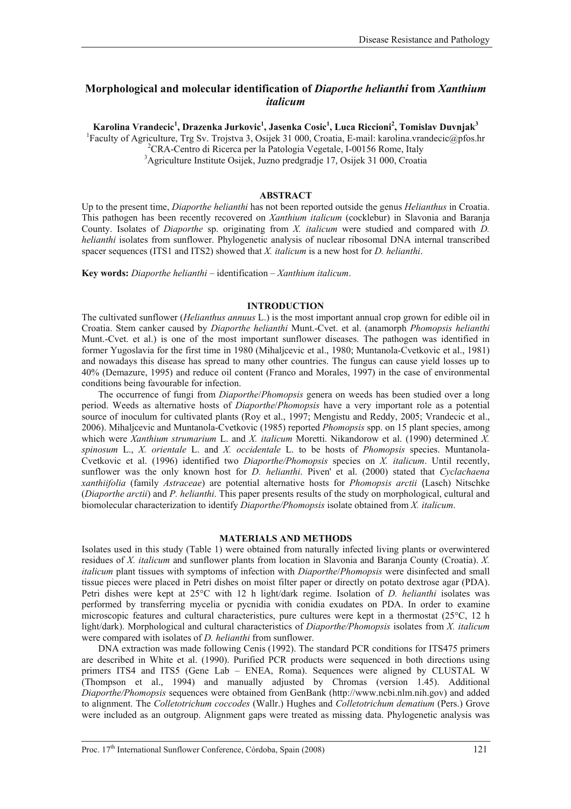# **Morphological and molecular identification of** *Diaporthe helianthi* **from** *Xanthium italicum*

**Karolina Vrandecic1 , Drazenka Jurkovic1 , Jasenka Cosic<sup>1</sup> , Luca Riccioni2 , Tomislav Duvnjak<sup>3</sup>**

<sup>1</sup>Faculty of Agriculture, Trg Sv. Trojstva 3, Osijek 31 000, Croatia, E-mail: karolina.vrandecic@pfos.hr<br><sup>2</sup>CBA, Centre di Bisexee per la Patelogia Vegatele, L00156 Bome, Italy

<sup>2</sup>CRA-Centro di Ricerca per la Patologia Vegetale, I-00156 Rome, Italy

3 Agriculture Institute Osijek, Juzno predgradje 17, Osijek 31 000, Croatia

## **ABSTRACT**

Up to the present time, *Diaporthe helianthi* has not been reported outside the genus *Helianthus* in Croatia. This pathogen has been recently recovered on *Xanthium italicum* (cocklebur) in Slavonia and Baranja County. Isolates of *Diaporthe* sp. originating from *X. italicum* were studied and compared with *D. helianthi* isolates from sunflower. Phylogenetic analysis of nuclear ribosomal DNA internal transcribed spacer sequences (ITS1 and ITS2) showed that *X. italicum* is a new host for *D. helianthi*.

**Key words:** *Diaporthe helianthi* – identification – *Xanthium italicum*.

### **INTRODUCTION**

The cultivated sunflower (*Helianthus annuus* L.) is the most important annual crop grown for edible oil in Croatia. Stem canker caused by *Diaporthe helianthi* Munt.-Cvet. et al. (anamorph *Phomopsis helianthi* Munt.-Cvet. et al.) is one of the most important sunflower diseases. The pathogen was identified in former Yugoslavia for the first time in 1980 (Mihaljcevic et al., 1980; Muntanola-Cvetkovic et al., 1981) and nowadays this disease has spread to many other countries. The fungus can cause yield losses up to 40% (Demazure, 1995) and reduce oil content (Franco and Morales, 1997) in the case of environmental conditions being favourable for infection.

The occurrence of fungi from *Diaporthe*/*Phomopsis* genera on weeds has been studied over a long period. Weeds as alternative hosts of *Diaporthe*/*Phomopsis* have a very important role as a potential source of inoculum for cultivated plants (Roy et al., 1997; Mengistu and Reddy, 2005; Vrandecic et al., 2006). Mihaljcevic and Muntanola-Cvetkovic (1985) reported *Phomopsis* spp. on 15 plant species, among which were *Xanthium strumarium* L. and *X. italicum* Moretti. Nikandorow et al. (1990) determined *X. spinosum* L., *X. orientale* L. and *X. occidentale* L. to be hosts of *Phomopsis* species. Muntanola-Cvetkovic et al. (1996) identified two *Diaporthe/Phomopsis* species on *X. italicum*. Until recently, sunflower was the only known host for *D. helianthi*. Piven' et al. (2000) stated that *Cyclachaena xanthiifolia* (family *Astraceae*) are potential alternative hosts for *Phomopsis arctii* (Lasch) Nitschke (*Diaporthe arctii*) and *P. helianthi*. This paper presents results of the study on morphological, cultural and biomolecular characterization to identify *Diaporthe/Phomopsis* isolate obtained from *X. italicum*.

#### **MATERIALS AND METHODS**

Isolates used in this study (Table 1) were obtained from naturally infected living plants or overwintered residues of *X. italicum* and sunflower plants from location in Slavonia and Baranja County (Croatia). *X. italicum* plant tissues with symptoms of infection with *Diaporthe*/*Phomopsis* were disinfected and small tissue pieces were placed in Petri dishes on moist filter paper or directly on potato dextrose agar (PDA). Petri dishes were kept at 25°C with 12 h light/dark regime. Isolation of *D. helianthi* isolates was performed by transferring mycelia or pycnidia with conidia exudates on PDA. In order to examine microscopic features and cultural characteristics, pure cultures were kept in a thermostat (25°C, 12 h light/dark). Morphological and cultural characteristics of *Diaporthe/Phomopsis* isolates from *X. italicum* were compared with isolates of *D. helianthi* from sunflower.

DNA extraction was made following Cenis (1992). The standard PCR conditions for ITS475 primers are described in White et al. (1990). Purified PCR products were sequenced in both directions using primers ITS4 and ITS5 (Gene Lab – ENEA, Roma). Sequences were aligned by CLUSTAL W (Thompson et al., 1994) and manually adjusted by Chromas (version 1.45). Additional *Diaporthe/Phomopsis* sequences were obtained from GenBank [\(http://www.ncbi.nlm.nih.gov](http://www.ncbi.nlm.nih.gov/)) and added to alignment. The *Colletotrichum coccodes* (Wallr.) Hughes and *Colletotrichum dematium* (Pers.) Grove were included as an outgroup. Alignment gaps were treated as missing data. Phylogenetic analysis was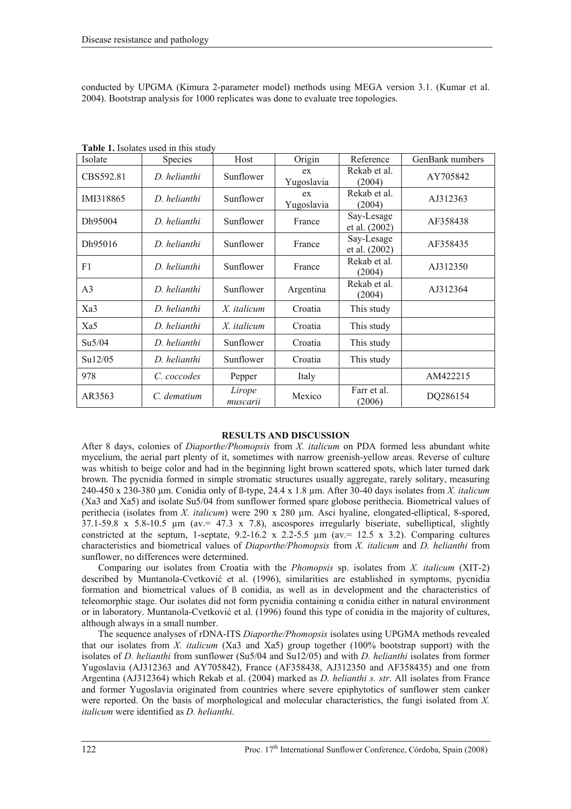conducted by UPGMA (Kimura 2-parameter model) methods using MEGA version 3.1. (Kumar et al. 2004). Bootstrap analysis for 1000 replicates was done to evaluate tree topologies.

| Isolate        | Species      | Host               | Origin           | Reference                   | GenBank numbers |
|----------------|--------------|--------------------|------------------|-----------------------------|-----------------|
| CBS592.81      | D. helianthi | Sunflower          | ex<br>Yugoslavia | Rekab et al.<br>(2004)      | AY705842        |
| IMI318865      | D. helianthi | Sunflower          | ex<br>Yugoslavia | Rekab et al.<br>(2004)      | AJ312363        |
| Dh95004        | D. helianthi | Sunflower          | France           | Say-Lesage<br>et al. (2002) | AF358438        |
| Dh95016        | D. helianthi | Sunflower          | France           | Say-Lesage<br>et al. (2002) | AF358435        |
| F1             | D. helianthi | Sunflower          | France           | Rekab et al.<br>(2004)      | AJ312350        |
| A <sub>3</sub> | D. helianthi | Sunflower          | Argentina        | Rekab et al.<br>(2004)      | AJ312364        |
| Xa3            | D. helianthi | X. italicum        | Croatia          | This study                  |                 |
| Xa5            | D. helianthi | X. italicum        | Croatia          | This study                  |                 |
| Su5/04         | D. helianthi | Sunflower          | Croatia          | This study                  |                 |
| Su12/05        | D. helianthi | Sunflower          | Croatia          | This study                  |                 |
| 978            | C. coccodes  | Pepper             | Italy            |                             | AM422215        |
| AR3563         | C. dematium  | Lirope<br>muscarii | Mexico           | Farr et al.<br>(2006)       | DQ286154        |

**Table 1.** Isolates used in this study

## **RESULTS AND DISCUSSION**

After 8 days, colonies of *Diaporthe/Phomopsis* from *X. italicum* on PDA formed less abundant white mycelium, the aerial part plenty of it, sometimes with narrow greenish-yellow areas. Reverse of culture was whitish to beige color and had in the beginning light brown scattered spots, which later turned dark brown. The pycnidia formed in simple stromatic structures usually aggregate, rarely solitary, measuring 240-450 x 230-380 µm. Conidia only of ß-type, 24.4 x 1.8 µm. After 30-40 days isolates from *X. italicum* (Xa3 and Xa5) and isolate Su5/04 from sunflower formed spare globose perithecia. Biometrical values of perithecia (isolates from *X. italicum*) were 290 x 280 um. Asci hyaline, elongated-elliptical, 8-spored,  $37.1-59.8 \times 5.8-10.5 \mu m$  (av.  $47.3 \times 7.8$ ), ascospores irregularly biseriate, subelliptical, slightly constricted at the septum, 1-septate,  $9.2-16.2 \times 2.2-5.5 \mu m$  (av. = 12.5 x 3.2). Comparing cultures characteristics and biometrical values of *Diaporthe/Phomopsis* from *X. italicum* and *D. helianthi* from sunflower, no differences were determined.

Comparing our isolates from Croatia with the *Phomopsis* sp. isolates from *X. italicum* (XIT-2) described by Muntanola-Cvetković et al. (1996), similarities are established in symptoms, pycnidia formation and biometrical values of ß conidia, as well as in development and the characteristics of teleomorphic stage. Our isolates did not form pycnidia containing  $\alpha$  conidia either in natural environment or in laboratory. Muntanola-Cvetković et al. (1996) found this type of conidia in the majority of cultures, although always in a small number.

The sequence analyses of rDNA-ITS *Diaporthe/Phomopsis* isolates using UPGMA methods revealed that our isolates from *X. italicum* (Xa3 and Xa5) group together (100% bootstrap support) with the isolates of *D. helianthi* from sunflower (Su5/04 and Su12/05) and with *D. helianthi* isolates from former Yugoslavia (AJ312363 and AY705842), France (AF358438, AJ312350 and AF358435) and one from Argentina (AJ312364) which Rekab et al. (2004) marked as *D. helianthi s. str*. All isolates from France and former Yugoslavia originated from countries where severe epiphytotics of sunflower stem canker were reported. On the basis of morphological and molecular characteristics, the fungi isolated from *X. italicum* were identified as *D. helianthi*.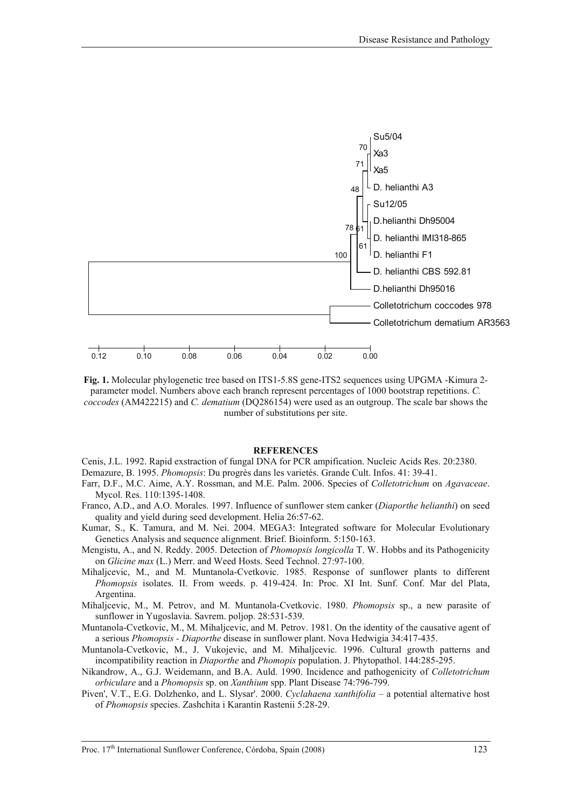

**Fig. 1.** Molecular phylogenetic tree based on ITS1-5.8S gene-ITS2 sequences using UPGMA -Kimura 2 parameter model. Numbers above each branch represent percentages of 1000 bootstrap repetitions. *C. coccodes* (AM422215) and *C. dematium* (DQ286154) were used as an outgroup. The scale bar shows the number of substitutions per site.

#### **REFERENCES**

- Cenis, J.L. 1992. Rapid exstraction of fungal DNA for PCR ampification. Nucleic Acids Res. 20:2380. Demazure, B. 1995. *Phomopsis*: Du progrès dans les varietés. Grande Cult. Infos. 41: 39-41.
- Farr, D.F., M.C. Aime, A.Y. Rossman, and M.E. Palm. 2006. Species of *Colletotrichum* on *Agavaceae*. Mycol. Res. 110:1395-1408.
- Franco, A.D., and A.O. Morales. 1997. Influence of sunflower stem canker (*Diaporthe helianthi*) on seed quality and yield during seed development. Helia 26:57-62.
- [Kumar, S., K. Tamura, and M. Nei. 2004. MEGA3: Integrated software for Molecular Evolutionary](http://www.ncbi.nlm.nih.gov/entrez/query.fcgi?db=PubMed&cmd=Retrieve&dopt=Citation&list_uids=15260895)  [Genetics Analysis and sequence alignment. Brief. Bioinform. 5:150-163.](http://www.ncbi.nlm.nih.gov/entrez/query.fcgi?db=PubMed&cmd=Retrieve&dopt=Citation&list_uids=15260895)
- Mengistu, A., and N. Reddy. 2005. Detection of *Phomopsis longicolla* T. W. Hobbs and its Pathogenicity on *Glicine max* (L.) Merr. and Weed Hosts. Seed Technol. 27:97-100.
- Mihaljcevic, M., and M. Muntanola-Cvetkovic. 1985. Response of sunflower plants to different *Phomopsis* isolates. II. From weeds. p. 419-424. In: Proc. XI Int. Sunf. Conf. Mar del Plata, Argentina.
- Mihaljcevic, M., M. Petrov, and M. Muntanola-Cvetkovic. 1980. *Phomopsis* sp., a new parasite of sunflower in Yugoslavia. Savrem. poljop. 28:531-539.
- Muntanola-Cvetkovic, M., M. Mihaljcevic, and M. Petrov. 1981. On the identity of the causative agent of a serious *Phomopsis - Diaporthe* disease in sunflower plant. Nova Hedwigia 34:417-435.
- Muntanola-Cvetkovic, M., J. Vukojevic, and M. Mihaljcevic. 1996. Cultural growth patterns and incompatibility reaction in *Diaporthe* and *Phomopis* population. J. Phytopathol. 144:285-295.
- Nikandrow, A., G.J. Weidemann, and B.A. Auld. 1990. Incidence and pathogenicity of *Colletotrichum orbiculare* and a *Phomopsis* sp. on *Xanthium* spp. Plant Disease 74:796-799.
- Piven', V.T., E.G. Dolzhenko, and L. Slysar'. 2000. *Cyclahaena xanthifolia* a potential alternative host of *Phomopsis* species. Zashchita i Karantin Rastenii 5:28-29.